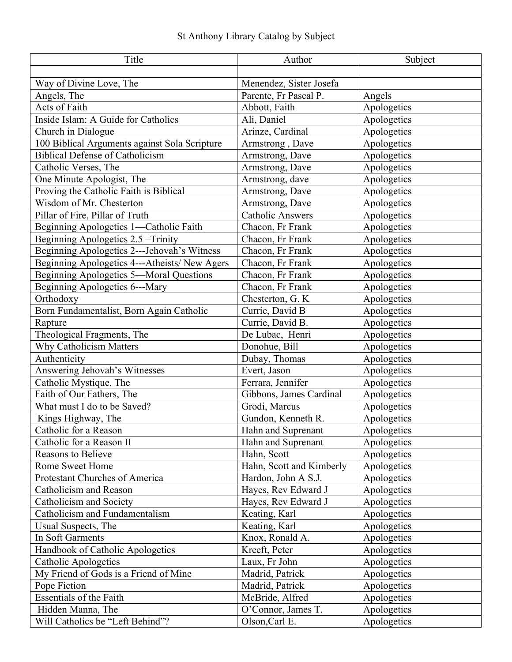| Title                                         | Author                   | Subject     |
|-----------------------------------------------|--------------------------|-------------|
|                                               |                          |             |
| Way of Divine Love, The                       | Menendez, Sister Josefa  |             |
| Angels, The                                   | Parente, Fr Pascal P.    | Angels      |
| Acts of Faith                                 | Abbott, Faith            | Apologetics |
| Inside Islam: A Guide for Catholics           | Ali, Daniel              | Apologetics |
| Church in Dialogue                            | Arinze, Cardinal         | Apologetics |
| 100 Biblical Arguments against Sola Scripture | Armstrong, Dave          | Apologetics |
| <b>Biblical Defense of Catholicism</b>        | Armstrong, Dave          | Apologetics |
| Catholic Verses, The                          | Armstrong, Dave          | Apologetics |
| One Minute Apologist, The                     | Armstrong, dave          | Apologetics |
| Proving the Catholic Faith is Biblical        | Armstrong, Dave          | Apologetics |
| Wisdom of Mr. Chesterton                      | Armstrong, Dave          | Apologetics |
| Pillar of Fire, Pillar of Truth               | <b>Catholic Answers</b>  | Apologetics |
| Beginning Apologetics 1-Catholic Faith        | Chacon, Fr Frank         | Apologetics |
| Beginning Apologetics 2.5 - Trinity           | Chacon, Fr Frank         | Apologetics |
| Beginning Apologetics 2---Jehovah's Witness   | Chacon, Fr Frank         | Apologetics |
| Beginning Apologetics 4---Atheists/ New Agers | Chacon, Fr Frank         | Apologetics |
| Beginning Apologetics 5-Moral Questions       | Chacon, Fr Frank         | Apologetics |
| Beginning Apologetics 6---Mary                | Chacon, Fr Frank         | Apologetics |
| Orthodoxy                                     | Chesterton, G. K         | Apologetics |
| Born Fundamentalist, Born Again Catholic      | Currie, David B          | Apologetics |
| Rapture                                       | Currie, David B.         | Apologetics |
| Theological Fragments, The                    | De Lubac, Henri          | Apologetics |
| Why Catholicism Matters                       | Donohue, Bill            | Apologetics |
| Authenticity                                  | Dubay, Thomas            | Apologetics |
| Answering Jehovah's Witnesses                 | Evert, Jason             | Apologetics |
| Catholic Mystique, The                        | Ferrara, Jennifer        | Apologetics |
| Faith of Our Fathers, The                     | Gibbons, James Cardinal  | Apologetics |
| What must I do to be Saved?                   | Grodi, Marcus            | Apologetics |
| Kings Highway, The                            | Gundon, Kenneth R.       | Apologetics |
| Catholic for a Reason                         | Hahn and Suprenant       | Apologetics |
| Catholic for a Reason II                      | Hahn and Suprenant       | Apologetics |
| <b>Reasons to Believe</b>                     | Hahn, Scott              | Apologetics |
| Rome Sweet Home                               | Hahn, Scott and Kimberly | Apologetics |
| Protestant Churches of America                | Hardon, John A S.J.      | Apologetics |
| Catholicism and Reason                        | Hayes, Rev Edward J      | Apologetics |
| Catholicism and Society                       | Hayes, Rev Edward J      | Apologetics |
| Catholicism and Fundamentalism                | Keating, Karl            | Apologetics |
| Usual Suspects, The                           | Keating, Karl            | Apologetics |
| In Soft Garments                              | Knox, Ronald A.          | Apologetics |
| Handbook of Catholic Apologetics              | Kreeft, Peter            | Apologetics |
| Catholic Apologetics                          | Laux, Fr John            | Apologetics |
| My Friend of Gods is a Friend of Mine         | Madrid, Patrick          | Apologetics |
| Pope Fiction                                  | Madrid, Patrick          | Apologetics |
| <b>Essentials of the Faith</b>                | McBride, Alfred          | Apologetics |
| Hidden Manna, The                             | O'Connor, James T.       | Apologetics |
| Will Catholics be "Left Behind"?              | Olson, Carl E.           | Apologetics |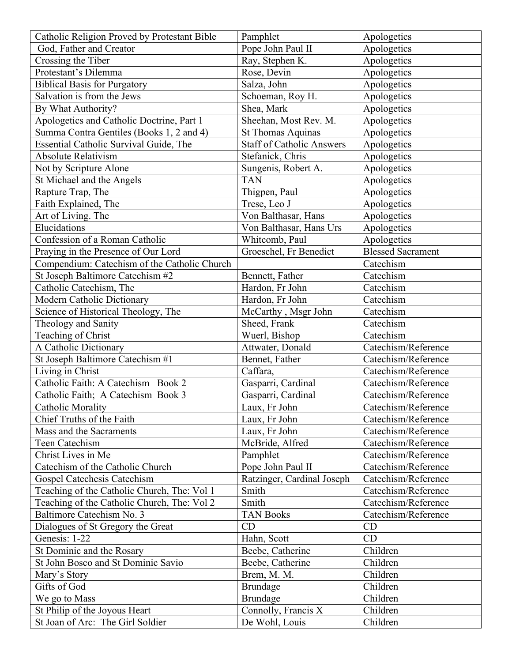| Catholic Religion Proved by Protestant Bible | Pamphlet                         | Apologetics              |
|----------------------------------------------|----------------------------------|--------------------------|
| God, Father and Creator                      | Pope John Paul II                | Apologetics              |
| Crossing the Tiber                           | Ray, Stephen K.                  | Apologetics              |
| Protestant's Dilemma                         | Rose, Devin                      | Apologetics              |
| <b>Biblical Basis for Purgatory</b>          | Salza, John                      | Apologetics              |
| Salvation is from the Jews                   | Schoeman, Roy H.                 | Apologetics              |
| By What Authority?                           | Shea, Mark                       | Apologetics              |
| Apologetics and Catholic Doctrine, Part 1    | Sheehan, Most Rev. M.            | Apologetics              |
| Summa Contra Gentiles (Books 1, 2 and 4)     | <b>St Thomas Aquinas</b>         | Apologetics              |
| Essential Catholic Survival Guide, The       | <b>Staff of Catholic Answers</b> | Apologetics              |
| <b>Absolute Relativism</b>                   | Stefanick, Chris                 | Apologetics              |
| Not by Scripture Alone                       | Sungenis, Robert A.              | Apologetics              |
| St Michael and the Angels                    | <b>TAN</b>                       | Apologetics              |
| Rapture Trap, The                            | Thigpen, Paul                    | Apologetics              |
| Faith Explained, The                         | Trese, Leo J                     | Apologetics              |
| Art of Living. The                           | Von Balthasar, Hans              | Apologetics              |
| Elucidations                                 | Von Balthasar, Hans Urs          | Apologetics              |
| Confession of a Roman Catholic               | Whitcomb, Paul                   | Apologetics              |
| Praying in the Presence of Our Lord          | Groeschel, Fr Benedict           | <b>Blessed Sacrament</b> |
| Compendium: Catechism of the Catholic Church |                                  | Catechism                |
| St Joseph Baltimore Catechism #2             | Bennett, Father                  | Catechism                |
| Catholic Catechism, The                      | Hardon, Fr John                  | Catechism                |
| Modern Catholic Dictionary                   | Hardon, Fr John                  | Catechism                |
| Science of Historical Theology, The          | McCarthy, Msgr John              | Catechism                |
| Theology and Sanity                          | Sheed, Frank                     | Catechism                |
| Teaching of Christ                           | Wuerl, Bishop                    | Catechism                |
| A Catholic Dictionary                        | Attwater, Donald                 | Catechism/Reference      |
| St Joseph Baltimore Catechism #1             | Bennet, Father                   | Catechism/Reference      |
| Living in Christ                             | Caffara,                         | Catechism/Reference      |
| Catholic Faith: A Catechism Book 2           | Gasparri, Cardinal               | Catechism/Reference      |
| Catholic Faith; A Catechism Book 3           | Gasparri, Cardinal               | Catechism/Reference      |
| Catholic Morality                            | Laux, Fr John                    | Catechism/Reference      |
| Chief Truths of the Faith                    | Laux, Fr John                    | Catechism/Reference      |
| Mass and the Sacraments                      | Laux, Fr John                    | Catechism/Reference      |
| Teen Catechism                               | McBride, Alfred                  | Catechism/Reference      |
| Christ Lives in Me                           | Pamphlet                         | Catechism/Reference      |
| Catechism of the Catholic Church             | Pope John Paul II                | Catechism/Reference      |
| Gospel Catechesis Catechism                  | Ratzinger, Cardinal Joseph       | Catechism/Reference      |
| Teaching of the Catholic Church, The: Vol 1  | Smith                            | Catechism/Reference      |
| Teaching of the Catholic Church, The: Vol 2  | Smith                            | Catechism/Reference      |
| Baltimore Catechism No. 3                    | <b>TAN Books</b>                 | Catechism/Reference      |
| Dialogues of St Gregory the Great            | CD                               | CD                       |
| Genesis: 1-22                                | Hahn, Scott                      | CD                       |
| St Dominic and the Rosary                    | Beebe, Catherine                 | Children                 |
| St John Bosco and St Dominic Savio           | Beebe, Catherine                 | Children                 |
| Mary's Story                                 | Brem, M. M.                      | Children                 |
| Gifts of God                                 | Brundage                         | Children                 |
| We go to Mass                                | Brundage                         | Children                 |
| St Philip of the Joyous Heart                | Connolly, Francis X              | Children                 |
| St Joan of Arc: The Girl Soldier             | De Wohl, Louis                   | Children                 |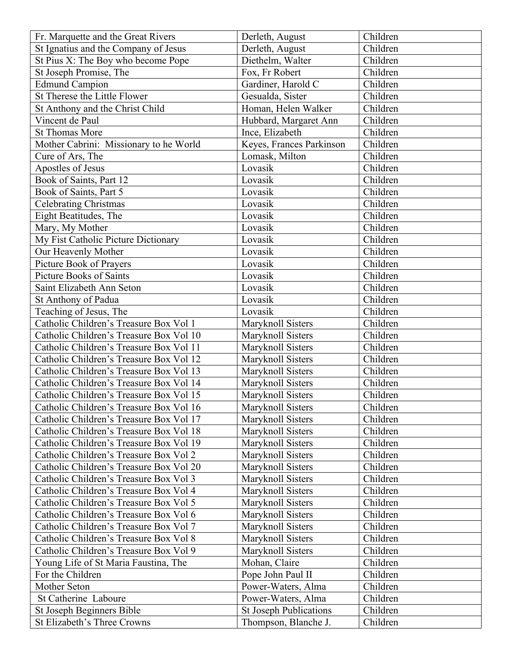| Fr. Marquette and the Great Rivers      | Derleth, August               | Children |
|-----------------------------------------|-------------------------------|----------|
| St Ignatius and the Company of Jesus    | Derleth, August               | Children |
| St Pius X: The Boy who become Pope      | Diethelm, Walter              | Children |
| St Joseph Promise, The                  | Fox, Fr Robert                | Children |
| <b>Edmund Campion</b>                   | Gardiner, Harold C            | Children |
| St Therese the Little Flower            | Gesualda, Sister              | Children |
| St Anthony and the Christ Child         | Homan, Helen Walker           | Children |
| Vincent de Paul                         | Hubbard, Margaret Ann         | Children |
| <b>St Thomas More</b>                   | Ince, Elizabeth               | Children |
| Mother Cabrini: Missionary to he World  | Keyes, Frances Parkinson      | Children |
| Cure of Ars, The                        | Lomask, Milton                | Children |
| Apostles of Jesus                       | Lovasik                       | Children |
| Book of Saints, Part 12                 | Lovasik                       | Children |
| Book of Saints, Part 5                  | Lovasik                       | Children |
| <b>Celebrating Christmas</b>            | Lovasik                       | Children |
| Eight Beatitudes, The                   | Lovasik                       | Children |
| Mary, My Mother                         | Lovasik                       | Children |
| My Fist Catholic Picture Dictionary     | Lovasik                       | Children |
| Our Heavenly Mother                     | Lovasik                       | Children |
| Picture Book of Prayers                 | Lovasik                       | Children |
| Picture Books of Saints                 | Lovasik                       | Children |
| Saint Elizabeth Ann Seton               | Lovasik                       | Children |
| St Anthony of Padua                     | Lovasik                       | Children |
| Teaching of Jesus, The                  | Lovasik                       | Children |
| Catholic Children's Treasure Box Vol 1  | Maryknoll Sisters             | Children |
| Catholic Children's Treasure Box Vol 10 | Maryknoll Sisters             | Children |
| Catholic Children's Treasure Box Vol 11 | Maryknoll Sisters             | Children |
| Catholic Children's Treasure Box Vol 12 | Maryknoll Sisters             | Children |
| Catholic Children's Treasure Box Vol 13 | Maryknoll Sisters             | Children |
| Catholic Children's Treasure Box Vol 14 | Maryknoll Sisters             | Children |
| Catholic Children's Treasure Box Vol 15 | Maryknoll Sisters             | Children |
| Catholic Children's Treasure Box Vol 16 | Maryknoll Sisters             | Children |
| Catholic Children's Treasure Box Vol 17 | Maryknoll Sisters             | Children |
| Catholic Children's Treasure Box Vol 18 | Maryknoll Sisters             | Children |
| Catholic Children's Treasure Box Vol 19 | Maryknoll Sisters             | Children |
| Catholic Children's Treasure Box Vol 2  | Maryknoll Sisters             | Children |
| Catholic Children's Treasure Box Vol 20 | Maryknoll Sisters             | Children |
| Catholic Children's Treasure Box Vol 3  | Maryknoll Sisters             | Children |
| Catholic Children's Treasure Box Vol 4  | Maryknoll Sisters             | Children |
| Catholic Children's Treasure Box Vol 5  | Maryknoll Sisters             | Children |
| Catholic Children's Treasure Box Vol 6  | Maryknoll Sisters             | Children |
| Catholic Children's Treasure Box Vol 7  | Maryknoll Sisters             | Children |
| Catholic Children's Treasure Box Vol 8  | Maryknoll Sisters             | Children |
| Catholic Children's Treasure Box Vol 9  | Maryknoll Sisters             | Children |
| Young Life of St Maria Faustina, The    | Mohan, Claire                 | Children |
| For the Children                        | Pope John Paul II             | Children |
| Mother Seton                            | Power-Waters, Alma            | Children |
| St Catherine Laboure                    | Power-Waters, Alma            | Children |
| St Joseph Beginners Bible               | <b>St Joseph Publications</b> | Children |
| St Elizabeth's Three Crowns             | Thompson, Blanche J.          | Children |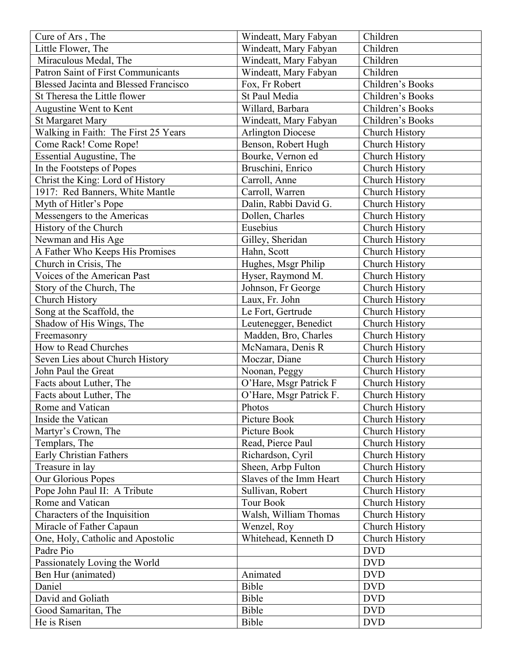| Cure of Ars, The                             | Windeatt, Mary Fabyan    | Children              |
|----------------------------------------------|--------------------------|-----------------------|
| Little Flower, The                           | Windeatt, Mary Fabyan    | Children              |
| Miraculous Medal, The                        | Windeatt, Mary Fabyan    | Children              |
| <b>Patron Saint of First Communicants</b>    | Windeatt, Mary Fabyan    | Children              |
| <b>Blessed Jacinta and Blessed Francisco</b> | Fox, Fr Robert           | Children's Books      |
| St Theresa the Little flower                 | St Paul Media            | Children's Books      |
| Augustine Went to Kent                       | Willard, Barbara         | Children's Books      |
| <b>St Margaret Mary</b>                      | Windeatt, Mary Fabyan    | Children's Books      |
| Walking in Faith: The First 25 Years         | <b>Arlington Diocese</b> | Church History        |
| Come Rack! Come Rope!                        | Benson, Robert Hugh      | Church History        |
| Essential Augustine, The                     | Bourke, Vernon ed        | Church History        |
| In the Footsteps of Popes                    | Bruschini, Enrico        | Church History        |
| Christ the King: Lord of History             | Carroll, Anne            | Church History        |
| 1917: Red Banners, White Mantle              | Carroll, Warren          | Church History        |
| Myth of Hitler's Pope                        | Dalin, Rabbi David G.    | Church History        |
| Messengers to the Americas                   | Dollen, Charles          | <b>Church History</b> |
| History of the Church                        | Eusebius                 | Church History        |
| Newman and His Age                           | Gilley, Sheridan         | Church History        |
| A Father Who Keeps His Promises              | Hahn, Scott              | Church History        |
| Church in Crisis, The                        | Hughes, Msgr Philip      | Church History        |
| Voices of the American Past                  | Hyser, Raymond M.        | Church History        |
| Story of the Church, The                     | Johnson, Fr George       | Church History        |
| Church History                               | Laux, Fr. John           | Church History        |
| Song at the Scaffold, the                    | Le Fort, Gertrude        | Church History        |
| Shadow of His Wings, The                     | Leutenegger, Benedict    | Church History        |
| Freemasonry                                  | Madden, Bro, Charles     | Church History        |
| How to Read Churches                         | McNamara, Denis R        | Church History        |
| Seven Lies about Church History              | Moczar, Diane            | Church History        |
| John Paul the Great                          | Noonan, Peggy            | Church History        |
| Facts about Luther, The                      | O'Hare, Msgr Patrick F   | Church History        |
| Facts about Luther, The                      | O'Hare, Msgr Patrick F.  | Church History        |
| Rome and Vatican                             | Photos                   | Church History        |
| Inside the Vatican                           | Picture Book             | Church History        |
| Martyr's Crown, The                          | Picture Book             | Church History        |
| Templars, The                                | Read, Pierce Paul        | Church History        |
| Early Christian Fathers                      | Richardson, Cyril        | Church History        |
|                                              | Sheen, Arbp Fulton       | Church History        |
| Treasure in lay<br>Our Glorious Popes        | Slaves of the Imm Heart  |                       |
|                                              | Sullivan, Robert         | Church History        |
| Pope John Paul II: A Tribute                 |                          | Church History        |
| Rome and Vatican                             | <b>Tour Book</b>         | Church History        |
| Characters of the Inquisition                | Walsh, William Thomas    | <b>Church History</b> |
| Miracle of Father Capaun                     | Wenzel, Roy              | Church History        |
| One, Holy, Catholic and Apostolic            | Whitehead, Kenneth D     | Church History        |
| Padre Pio                                    |                          | <b>DVD</b>            |
| Passionately Loving the World                |                          | <b>DVD</b>            |
| Ben Hur (animated)                           | Animated                 | <b>DVD</b>            |
| Daniel                                       | Bible                    | <b>DVD</b>            |
| David and Goliath                            | Bible                    | <b>DVD</b>            |
| Good Samaritan, The                          | Bible                    | <b>DVD</b>            |
| He is Risen                                  | Bible                    | <b>DVD</b>            |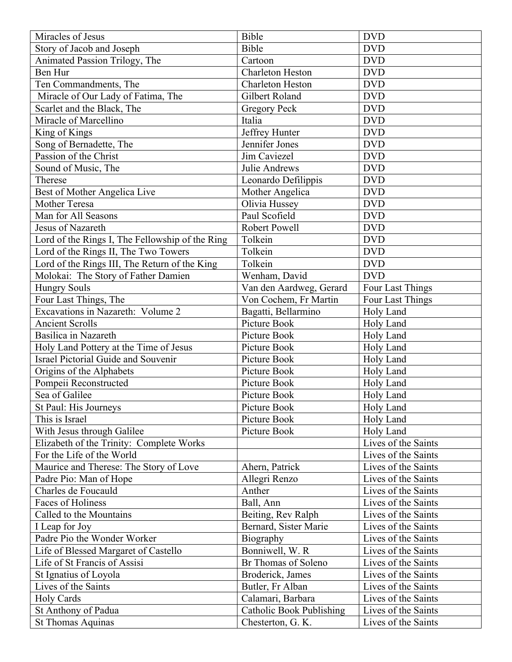| Miracles of Jesus                               | Bible                           | <b>DVD</b>          |
|-------------------------------------------------|---------------------------------|---------------------|
| Story of Jacob and Joseph                       | Bible                           | <b>DVD</b>          |
| Animated Passion Trilogy, The                   | Cartoon                         | <b>DVD</b>          |
| Ben Hur                                         | <b>Charleton Heston</b>         | <b>DVD</b>          |
| Ten Commandments, The                           | <b>Charleton Heston</b>         | <b>DVD</b>          |
| Miracle of Our Lady of Fatima, The              | Gilbert Roland                  | <b>DVD</b>          |
| Scarlet and the Black, The                      | <b>Gregory Peck</b>             | <b>DVD</b>          |
| Miracle of Marcellino                           | Italia                          | <b>DVD</b>          |
| King of Kings                                   | Jeffrey Hunter                  | <b>DVD</b>          |
| Song of Bernadette, The                         | Jennifer Jones                  | <b>DVD</b>          |
| Passion of the Christ                           | Jim Caviezel                    | <b>DVD</b>          |
| Sound of Music, The                             | Julie Andrews                   | <b>DVD</b>          |
| Therese                                         | Leonardo Defilippis             | <b>DVD</b>          |
| Best of Mother Angelica Live                    | Mother Angelica                 | <b>DVD</b>          |
| <b>Mother Teresa</b>                            | Olivia Hussey                   | <b>DVD</b>          |
| Man for All Seasons                             | Paul Scofield                   | <b>DVD</b>          |
| Jesus of Nazareth                               | Robert Powell                   | <b>DVD</b>          |
| Lord of the Rings I, The Fellowship of the Ring | Tolkein                         | <b>DVD</b>          |
| Lord of the Rings II, The Two Towers            | Tolkein                         | <b>DVD</b>          |
| Lord of the Rings III, The Return of the King   | Tolkein                         | <b>DVD</b>          |
| Molokai: The Story of Father Damien             | Wenham, David                   | <b>DVD</b>          |
| <b>Hungry Souls</b>                             | Van den Aardweg, Gerard         | Four Last Things    |
| Four Last Things, The                           | Von Cochem, Fr Martin           | Four Last Things    |
| Excavations in Nazareth: Volume 2               | Bagatti, Bellarmino             | Holy Land           |
| <b>Ancient Scrolls</b>                          | Picture Book                    | Holy Land           |
| Basilica in Nazareth                            | Picture Book                    | Holy Land           |
| Holy Land Pottery at the Time of Jesus          | Picture Book                    | Holy Land           |
| <b>Israel Pictorial Guide and Souvenir</b>      | Picture Book                    | Holy Land           |
| Origins of the Alphabets                        | Picture Book                    | Holy Land           |
| Pompeii Reconstructed                           | Picture Book                    | Holy Land           |
| Sea of Galilee                                  | Picture Book                    | Holy Land           |
| St Paul: His Journeys                           | Picture Book                    | Holy Land           |
| This is Israel                                  | Picture Book                    | Holy Land           |
| With Jesus through Galilee                      | Picture Book                    | Holy Land           |
| Elizabeth of the Trinity: Complete Works        |                                 | Lives of the Saints |
| For the Life of the World                       |                                 | Lives of the Saints |
| Maurice and Therese: The Story of Love          | Ahern, Patrick                  | Lives of the Saints |
| Padre Pio: Man of Hope                          | Allegri Renzo                   | Lives of the Saints |
| Charles de Foucauld                             | Anther                          | Lives of the Saints |
| Faces of Holiness                               | Ball, Ann                       | Lives of the Saints |
| Called to the Mountains                         | Beiting, Rev Ralph              | Lives of the Saints |
| I Leap for Joy                                  | Bernard, Sister Marie           | Lives of the Saints |
| Padre Pio the Wonder Worker                     | Biography                       | Lives of the Saints |
| Life of Blessed Margaret of Castello            | Bonniwell, W. R.                | Lives of the Saints |
| Life of St Francis of Assisi                    | Br Thomas of Soleno             | Lives of the Saints |
| St Ignatius of Loyola                           | Broderick, James                | Lives of the Saints |
| Lives of the Saints                             | Butler, Fr Alban                | Lives of the Saints |
| <b>Holy Cards</b>                               | Calamari, Barbara               | Lives of the Saints |
| St Anthony of Padua                             | <b>Catholic Book Publishing</b> | Lives of the Saints |
| <b>St Thomas Aquinas</b>                        | Chesterton, G. K.               | Lives of the Saints |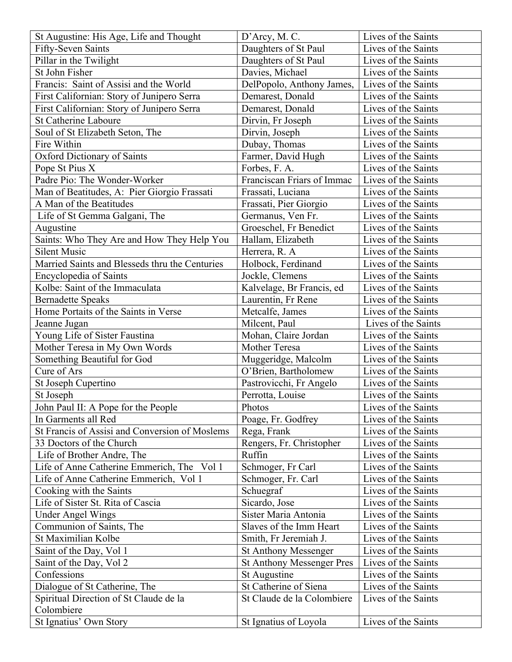| St Augustine: His Age, Life and Thought        | D'Arcy, M. C.                    | Lives of the Saints |
|------------------------------------------------|----------------------------------|---------------------|
| Fifty-Seven Saints                             | Daughters of St Paul             | Lives of the Saints |
| Pillar in the Twilight                         | Daughters of St Paul             | Lives of the Saints |
| St John Fisher                                 | Davies, Michael                  | Lives of the Saints |
| Francis: Saint of Assisi and the World         | DelPopolo, Anthony James,        | Lives of the Saints |
| First Californian: Story of Junipero Serra     | Demarest, Donald                 | Lives of the Saints |
| First Californian: Story of Junipero Serra     | Demarest, Donald                 | Lives of the Saints |
| <b>St Catherine Laboure</b>                    | Dirvin, Fr Joseph                | Lives of the Saints |
| Soul of St Elizabeth Seton, The                | Dirvin, Joseph                   | Lives of the Saints |
| Fire Within                                    | Dubay, Thomas                    | Lives of the Saints |
| <b>Oxford Dictionary of Saints</b>             | Farmer, David Hugh               | Lives of the Saints |
| Pope St Pius X                                 | Forbes, F. A.                    | Lives of the Saints |
| Padre Pio: The Wonder-Worker                   | Franciscan Friars of Immac       | Lives of the Saints |
| Man of Beatitudes, A: Pier Giorgio Frassati    | Frassati, Luciana                | Lives of the Saints |
| A Man of the Beatitudes                        | Frassati, Pier Giorgio           | Lives of the Saints |
| Life of St Gemma Galgani, The                  | Germanus, Ven Fr.                | Lives of the Saints |
| Augustine                                      | Groeschel, Fr Benedict           | Lives of the Saints |
| Saints: Who They Are and How They Help You     | Hallam, Elizabeth                | Lives of the Saints |
| <b>Silent Music</b>                            | Herrera, R. A.                   | Lives of the Saints |
| Married Saints and Blesseds thru the Centuries | Holbock, Ferdinand               | Lives of the Saints |
| <b>Encyclopedia of Saints</b>                  | Jockle, Clemens                  | Lives of the Saints |
| Kolbe: Saint of the Immaculata                 | Kalvelage, Br Francis, ed        | Lives of the Saints |
| <b>Bernadette Speaks</b>                       | Laurentin, Fr Rene               | Lives of the Saints |
| Home Portaits of the Saints in Verse           | Metcalfe, James                  | Lives of the Saints |
| Jeanne Jugan                                   | Milcent, Paul                    | Lives of the Saints |
| Young Life of Sister Faustina                  | Mohan, Claire Jordan             | Lives of the Saints |
| Mother Teresa in My Own Words                  | Mother Teresa                    | Lives of the Saints |
| Something Beautiful for God                    | Muggeridge, Malcolm              | Lives of the Saints |
| Cure of Ars                                    | O'Brien, Bartholomew             | Lives of the Saints |
| St Joseph Cupertino                            | Pastrovicchi, Fr Angelo          | Lives of the Saints |
| St Joseph                                      | Perrotta, Louise                 | Lives of the Saints |
| John Paul II: A Pope for the People            | Photos                           | Lives of the Saints |
| In Garments all Red                            | Poage, Fr. Godfrey               | Lives of the Saints |
| St Francis of Assisi and Conversion of Moslems | Rega, Frank                      | Lives of the Saints |
| 33 Doctors of the Church                       | Rengers, Fr. Christopher         | Lives of the Saints |
| Life of Brother Andre, The                     | Ruffin                           | Lives of the Saints |
| Life of Anne Catherine Emmerich, The<br>Vol 1  | Schmoger, Fr Carl                | Lives of the Saints |
| Life of Anne Catherine Emmerich, Vol 1         | Schmoger, Fr. Carl               | Lives of the Saints |
| Cooking with the Saints                        | Schuegraf                        | Lives of the Saints |
| Life of Sister St. Rita of Cascia              | Sicardo, Jose                    | Lives of the Saints |
| <b>Under Angel Wings</b>                       | Sister Maria Antonia             | Lives of the Saints |
| Communion of Saints, The                       | Slaves of the Imm Heart          | Lives of the Saints |
| St Maximilian Kolbe                            | Smith, Fr Jeremiah J.            | Lives of the Saints |
| Saint of the Day, Vol 1                        | <b>St Anthony Messenger</b>      | Lives of the Saints |
| Saint of the Day, Vol 2                        | <b>St Anthony Messenger Pres</b> | Lives of the Saints |
| Confessions                                    | St Augustine                     | Lives of the Saints |
| Dialogue of St Catherine, The                  | St Catherine of Siena            | Lives of the Saints |
| Spiritual Direction of St Claude de la         | St Claude de la Colombiere       | Lives of the Saints |
| Colombiere                                     |                                  |                     |
| St Ignatius' Own Story                         | St Ignatius of Loyola            | Lives of the Saints |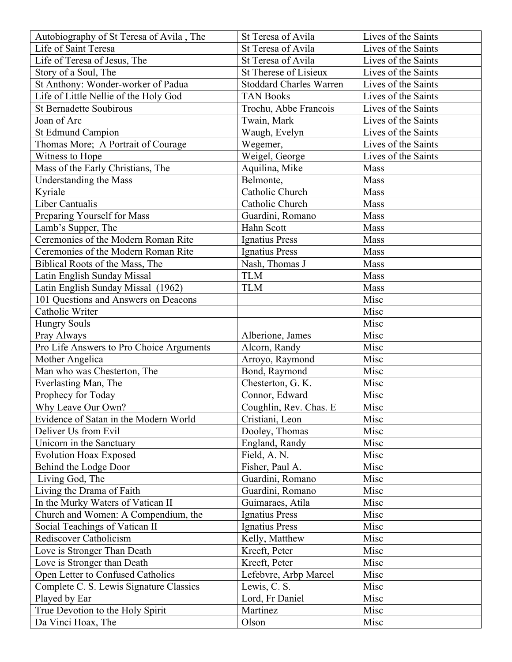| Autobiography of St Teresa of Avila, The | St Teresa of Avila             | Lives of the Saints |
|------------------------------------------|--------------------------------|---------------------|
| Life of Saint Teresa                     | St Teresa of Avila             | Lives of the Saints |
| Life of Teresa of Jesus, The             | St Teresa of Avila             | Lives of the Saints |
| Story of a Soul, The                     | St Therese of Lisieux          | Lives of the Saints |
| St Anthony: Wonder-worker of Padua       | <b>Stoddard Charles Warren</b> | Lives of the Saints |
| Life of Little Nellie of the Holy God    | <b>TAN Books</b>               | Lives of the Saints |
| <b>St Bernadette Soubirous</b>           | Trochu, Abbe Francois          | Lives of the Saints |
| Joan of Arc                              | Twain, Mark                    | Lives of the Saints |
| St Edmund Campion                        | Waugh, Evelyn                  | Lives of the Saints |
| Thomas More; A Portrait of Courage       | Wegemer,                       | Lives of the Saints |
| Witness to Hope                          | Weigel, George                 | Lives of the Saints |
| Mass of the Early Christians, The        | Aquilina, Mike                 | Mass                |
| Understanding the Mass                   | Belmonte,                      | Mass                |
| Kyriale                                  | Catholic Church                | Mass                |
| Liber Cantualis                          | Catholic Church                | Mass                |
| Preparing Yourself for Mass              | Guardini, Romano               | Mass                |
| Lamb's Supper, The                       | Hahn Scott                     | Mass                |
| Ceremonies of the Modern Roman Rite      | <b>Ignatius Press</b>          | Mass                |
| Ceremonies of the Modern Roman Rite      | Ignatius Press                 | Mass                |
| Biblical Roots of the Mass, The          | Nash, Thomas J                 | Mass                |
| Latin English Sunday Missal              | <b>TLM</b>                     | Mass                |
| Latin English Sunday Missal (1962)       | <b>TLM</b>                     | Mass                |
| 101 Questions and Answers on Deacons     |                                | Misc                |
| Catholic Writer                          |                                | Misc                |
| <b>Hungry Souls</b>                      |                                | Misc                |
| Pray Always                              | Alberione, James               | Misc                |
| Pro Life Answers to Pro Choice Arguments | Alcorn, Randy                  | Misc                |
| Mother Angelica                          | Arroyo, Raymond                | Misc                |
| Man who was Chesterton, The              | Bond, Raymond                  | Misc                |
| Everlasting Man, The                     | Chesterton, G. K.              | Misc                |
| Prophecy for Today                       | Connor, Edward                 | Misc                |
| Why Leave Our Own?                       | Coughlin, Rev. Chas. E         | Misc                |
| Evidence of Satan in the Modern World    | Cristiani, Leon                | Misc                |
| Deliver Us from Evil                     | Dooley, Thomas                 | Misc                |
| Unicorn in the Sanctuary                 | England, Randy                 | Misc                |
| <b>Evolution Hoax Exposed</b>            | Field, A. N.                   | Misc                |
| Behind the Lodge Door                    | Fisher, Paul A.                |                     |
| Living God, The                          |                                | Misc                |
|                                          | Guardini, Romano               | Misc                |
| Living the Drama of Faith                | Guardini, Romano               | Misc                |
| In the Murky Waters of Vatican II        | Guimaraes, Atila               | Misc                |
| Church and Women: A Compendium, the      | Ignatius Press                 | Misc                |
| Social Teachings of Vatican II           | Ignatius Press                 | Misc                |
| Rediscover Catholicism                   | Kelly, Matthew                 | Misc                |
| Love is Stronger Than Death              | Kreeft, Peter                  | Misc                |
| Love is Stronger than Death              | Kreeft, Peter                  | Misc                |
| Open Letter to Confused Catholics        | Lefebvre, Arbp Marcel          | Misc                |
| Complete C. S. Lewis Signature Classics  | Lewis, C. S.                   | Misc                |
| Played by Ear                            | Lord, Fr Daniel                | Misc                |
| True Devotion to the Holy Spirit         | Martinez                       | Misc                |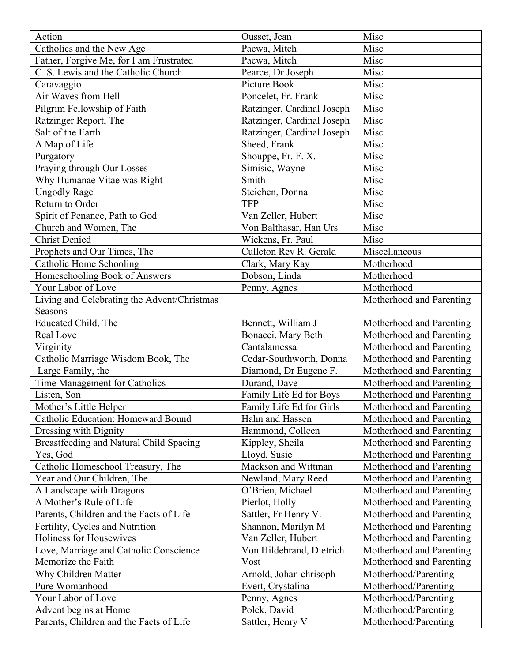| Action                                      | Ousset, Jean               | Misc                     |
|---------------------------------------------|----------------------------|--------------------------|
| Catholics and the New Age                   | Pacwa, Mitch               | Misc                     |
| Father, Forgive Me, for I am Frustrated     | Pacwa, Mitch               | Misc                     |
| C. S. Lewis and the Catholic Church         | Pearce, Dr Joseph          | Misc                     |
| Caravaggio                                  | Picture Book               | Misc                     |
| Air Waves from Hell                         | Poncelet, Fr. Frank        | Misc                     |
| Pilgrim Fellowship of Faith                 | Ratzinger, Cardinal Joseph | Misc                     |
| Ratzinger Report, The                       | Ratzinger, Cardinal Joseph | Misc                     |
| Salt of the Earth                           | Ratzinger, Cardinal Joseph | Misc                     |
| A Map of Life                               | Sheed, Frank               | Misc                     |
| Purgatory                                   | Shouppe, Fr. F. X.         | Misc                     |
| Praying through Our Losses                  | Simisic, Wayne             | Misc                     |
| Why Humanae Vitae was Right                 | Smith                      | Misc                     |
| <b>Ungodly Rage</b>                         | Steichen, Donna            | Misc                     |
| Return to Order                             | <b>TFP</b>                 | Misc                     |
| Spirit of Penance, Path to God              | Van Zeller, Hubert         | Misc                     |
| Church and Women, The                       | Von Balthasar, Han Urs     | Misc                     |
| <b>Christ Denied</b>                        | Wickens, Fr. Paul          | Misc                     |
| Prophets and Our Times, The                 | Culleton Rev R. Gerald     | Miscellaneous            |
| Catholic Home Schooling                     | Clark, Mary Kay            | Motherhood               |
| Homeschooling Book of Answers               | Dobson, Linda              | Motherhood               |
| Your Labor of Love                          | Penny, Agnes               | Motherhood               |
| Living and Celebrating the Advent/Christmas |                            | Motherhood and Parenting |
| Seasons                                     |                            |                          |
| Educated Child, The                         | Bennett, William J         | Motherhood and Parenting |
| Real Love                                   | Bonacci, Mary Beth         | Motherhood and Parenting |
| Virginity                                   | Cantalamessa               | Motherhood and Parenting |
| Catholic Marriage Wisdom Book, The          | Cedar-Southworth, Donna    | Motherhood and Parenting |
| Large Family, the                           | Diamond, Dr Eugene F.      | Motherhood and Parenting |
| Time Management for Catholics               | Durand, Dave               | Motherhood and Parenting |
| Listen, Son                                 | Family Life Ed for Boys    | Motherhood and Parenting |
| Mother's Little Helper                      | Family Life Ed for Girls   | Motherhood and Parenting |
| Catholic Education: Homeward Bound          | Hahn and Hassen            | Motherhood and Parenting |
| Dressing with Dignity                       | Hammond, Colleen           | Motherhood and Parenting |
| Breastfeeding and Natural Child Spacing     | Kippley, Sheila            | Motherhood and Parenting |
| Yes, God                                    | Lloyd, Susie               | Motherhood and Parenting |
| Catholic Homeschool Treasury, The           | Mackson and Wittman        | Motherhood and Parenting |
| Year and Our Children, The                  | Newland, Mary Reed         | Motherhood and Parenting |
| A Landscape with Dragons                    | O'Brien, Michael           | Motherhood and Parenting |
| A Mother's Rule of Life                     | Pierlot, Holly             | Motherhood and Parenting |
| Parents, Children and the Facts of Life     | Sattler, Fr Henry V.       | Motherhood and Parenting |
| Fertility, Cycles and Nutrition             | Shannon, Marilyn M         | Motherhood and Parenting |
| Holiness for Housewives                     | Van Zeller, Hubert         | Motherhood and Parenting |
| Love, Marriage and Catholic Conscience      | Von Hildebrand, Dietrich   | Motherhood and Parenting |
| Memorize the Faith                          | Vost                       | Motherhood and Parenting |
| Why Children Matter                         | Arnold, Johan chrisoph     | Motherhood/Parenting     |
| Pure Womanhood                              | Evert, Crystalina          | Motherhood/Parenting     |
| Your Labor of Love                          | Penny, Agnes               | Motherhood/Parenting     |
| Advent begins at Home                       | Polek, David               | Motherhood/Parenting     |
| Parents, Children and the Facts of Life     | Sattler, Henry V           | Motherhood/Parenting     |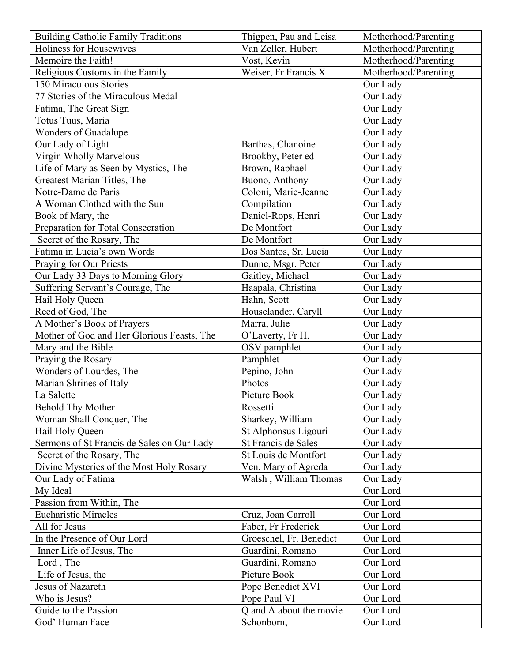| <b>Building Catholic Family Traditions</b> | Thigpen, Pau and Leisa  | Motherhood/Parenting |
|--------------------------------------------|-------------------------|----------------------|
| Holiness for Housewives                    | Van Zeller, Hubert      | Motherhood/Parenting |
| Memoire the Faith!                         | Vost, Kevin             | Motherhood/Parenting |
| Religious Customs in the Family            | Weiser, Fr Francis X    | Motherhood/Parenting |
| 150 Miraculous Stories                     |                         | Our Lady             |
| 77 Stories of the Miraculous Medal         |                         | Our Lady             |
| Fatima, The Great Sign                     |                         | Our Lady             |
| Totus Tuus, Maria                          |                         | Our Lady             |
| Wonders of Guadalupe                       |                         | Our Lady             |
| Our Lady of Light                          | Barthas, Chanoine       | Our Lady             |
| Virgin Wholly Marvelous                    | Brookby, Peter ed       | Our Lady             |
| Life of Mary as Seen by Mystics, The       | Brown, Raphael          | Our Lady             |
| Greatest Marian Titles, The                | Buono, Anthony          | Our Lady             |
| Notre-Dame de Paris                        | Coloni, Marie-Jeanne    | Our Lady             |
| A Woman Clothed with the Sun               | Compilation             | Our Lady             |
| Book of Mary, the                          | Daniel-Rops, Henri      | Our Lady             |
| Preparation for Total Consecration         | De Montfort             | Our Lady             |
| Secret of the Rosary, The                  | De Montfort             | Our Lady             |
| Fatima in Lucia's own Words                | Dos Santos, Sr. Lucia   | Our Lady             |
| Praying for Our Priests                    | Dunne, Msgr. Peter      | Our Lady             |
| Our Lady 33 Days to Morning Glory          | Gaitley, Michael        | Our Lady             |
| Suffering Servant's Courage, The           | Haapala, Christina      | Our Lady             |
| Hail Holy Queen                            | Hahn, Scott             | Our Lady             |
| Reed of God, The                           | Houselander, Caryll     | Our Lady             |
| A Mother's Book of Prayers                 | Marra, Julie            | Our Lady             |
| Mother of God and Her Glorious Feasts, The | O'Laverty, Fr H.        | Our Lady             |
| Mary and the Bible                         | OSV pamphlet            | Our Lady             |
| Praying the Rosary                         | Pamphlet                | Our Lady             |
| Wonders of Lourdes, The                    | Pepino, John            | Our Lady             |
| Marian Shrines of Italy                    | Photos                  | Our Lady             |
| La Salette                                 | Picture Book            | Our Lady             |
| <b>Behold Thy Mother</b>                   | Rossetti                | Our Lady             |
| Woman Shall Conquer, The                   | Sharkey, William        | Our Lady             |
| Hail Holy Queen                            | St Alphonsus Ligouri    | Our Lady             |
| Sermons of St Francis de Sales on Our Lady | St Francis de Sales     | Our Lady             |
| Secret of the Rosary, The                  | St Louis de Montfort    | Our Lady             |
| Divine Mysteries of the Most Holy Rosary   | Ven. Mary of Agreda     | Our Lady             |
| Our Lady of Fatima                         | Walsh, William Thomas   | Our Lady             |
| My Ideal                                   |                         | Our Lord             |
| Passion from Within, The                   |                         | Our Lord             |
| <b>Eucharistic Miracles</b>                | Cruz, Joan Carroll      | Our Lord             |
| All for Jesus                              | Faber, Fr Frederick     | Our Lord             |
| In the Presence of Our Lord                | Groeschel, Fr. Benedict | Our Lord             |
| Inner Life of Jesus, The                   | Guardini, Romano        | Our Lord             |
| Lord, The                                  | Guardini, Romano        | Our Lord             |
| Life of Jesus, the                         | Picture Book            | Our Lord             |
| Jesus of Nazareth                          | Pope Benedict XVI       | Our Lord             |
| Who is Jesus?                              | Pope Paul VI            | Our Lord             |
| Guide to the Passion                       | Q and A about the movie | Our Lord             |
| God' Human Face                            | Schonborn,              | Our Lord             |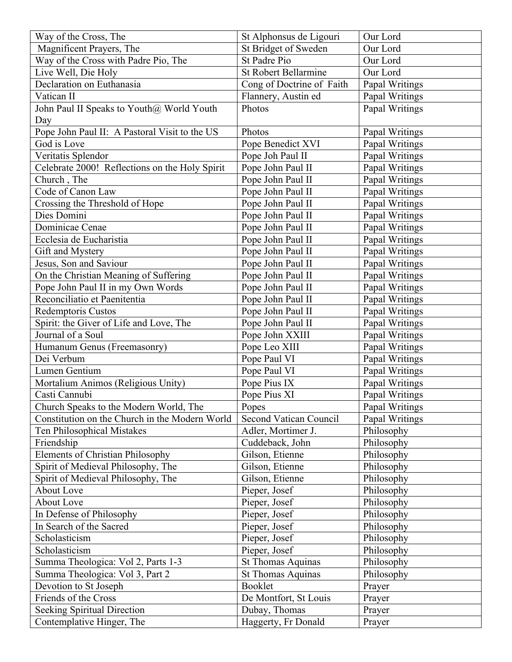| Way of the Cross, The                          | St Alphonsus de Ligouri     | Our Lord       |
|------------------------------------------------|-----------------------------|----------------|
| Magnificent Prayers, The                       | St Bridget of Sweden        | Our Lord       |
| Way of the Cross with Padre Pio, The           | St Padre Pio                | Our Lord       |
| Live Well, Die Holy                            | <b>St Robert Bellarmine</b> | Our Lord       |
| Declaration on Euthanasia                      | Cong of Doctrine of Faith   | Papal Writings |
| Vatican II                                     | Flannery, Austin ed         | Papal Writings |
| John Paul II Speaks to Youth@ World Youth      | Photos                      | Papal Writings |
| Day                                            |                             |                |
| Pope John Paul II: A Pastoral Visit to the US  | Photos                      | Papal Writings |
| God is Love                                    | Pope Benedict XVI           | Papal Writings |
| Veritatis Splendor                             | Pope Joh Paul II            | Papal Writings |
| Celebrate 2000! Reflections on the Holy Spirit | Pope John Paul II           | Papal Writings |
| Church, The                                    | Pope John Paul II           | Papal Writings |
| Code of Canon Law                              | Pope John Paul II           | Papal Writings |
| Crossing the Threshold of Hope                 | Pope John Paul II           | Papal Writings |
| Dies Domini                                    | Pope John Paul II           | Papal Writings |
| Dominicae Cenae                                | Pope John Paul II           | Papal Writings |
| Ecclesia de Eucharistia                        | Pope John Paul II           | Papal Writings |
| Gift and Mystery                               | Pope John Paul II           | Papal Writings |
| Jesus, Son and Saviour                         | Pope John Paul II           | Papal Writings |
| On the Christian Meaning of Suffering          | Pope John Paul II           | Papal Writings |
| Pope John Paul II in my Own Words              | Pope John Paul II           | Papal Writings |
| Reconciliatio et Paenitentia                   | Pope John Paul II           | Papal Writings |
| Redemptoris Custos                             | Pope John Paul II           | Papal Writings |
| Spirit: the Giver of Life and Love, The        | Pope John Paul II           | Papal Writings |
| Journal of a Soul                              | Pope John XXIII             | Papal Writings |
| Humanum Genus (Freemasonry)                    | Pope Leo XIII               | Papal Writings |
| Dei Verbum                                     | Pope Paul VI                | Papal Writings |
| Lumen Gentium                                  | Pope Paul VI                | Papal Writings |
| Mortalium Animos (Religious Unity)             | Pope Pius IX                | Papal Writings |
| Casti Cannubi                                  | Pope Pius XI                | Papal Writings |
| Church Speaks to the Modern World, The         | Popes                       | Papal Writings |
| Constitution on the Church in the Modern World | Second Vatican Council      | Papal Writings |
| Ten Philosophical Mistakes                     | Adler, Mortimer J.          | Philosophy     |
| Friendship                                     | Cuddeback, John             | Philosophy     |
| <b>Elements of Christian Philosophy</b>        | Gilson, Etienne             | Philosophy     |
| Spirit of Medieval Philosophy, The             | Gilson, Etienne             | Philosophy     |
| Spirit of Medieval Philosophy, The             | Gilson, Etienne             | Philosophy     |
| About Love                                     | Pieper, Josef               | Philosophy     |
| About Love                                     | Pieper, Josef               | Philosophy     |
| In Defense of Philosophy                       | Pieper, Josef               | Philosophy     |
|                                                |                             |                |
| In Search of the Sacred                        | Pieper, Josef               | Philosophy     |
| Scholasticism                                  | Pieper, Josef               | Philosophy     |
| Scholasticism                                  | Pieper, Josef               | Philosophy     |
| Summa Theologica: Vol 2, Parts 1-3             | <b>St Thomas Aquinas</b>    | Philosophy     |
| Summa Theologica: Vol 3, Part 2                | <b>St Thomas Aquinas</b>    | Philosophy     |
| Devotion to St Joseph                          | Booklet                     | Prayer         |
| Friends of the Cross                           | De Montfort, St Louis       | Prayer         |
| <b>Seeking Spiritual Direction</b>             | Dubay, Thomas               | Prayer         |
| Contemplative Hinger, The                      | Haggerty, Fr Donald         | Prayer         |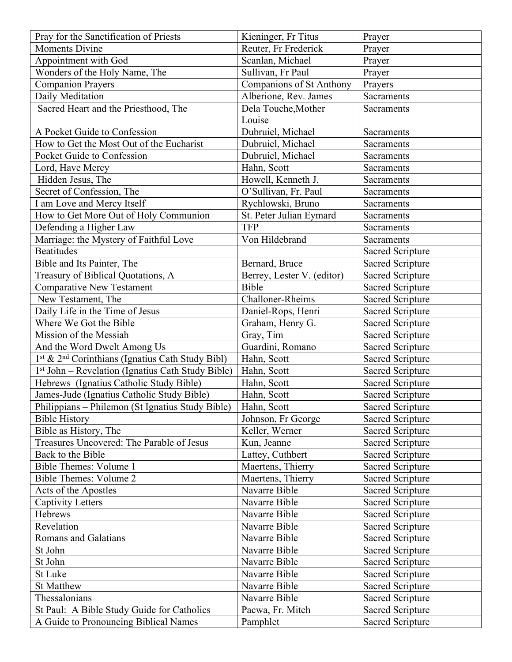| Pray for the Sanctification of Priests                                   | Kieninger, Fr Titus           | Prayer                  |
|--------------------------------------------------------------------------|-------------------------------|-------------------------|
| <b>Moments Divine</b>                                                    | Reuter, Fr Frederick          | Prayer                  |
| Appointment with God                                                     | Scanlan, Michael              | Prayer                  |
| Wonders of the Holy Name, The                                            | Sullivan, Fr Paul             | Prayer                  |
| <b>Companion Prayers</b>                                                 | Companions of St Anthony      | Prayers                 |
| Daily Meditation                                                         | Alberione, Rev. James         | Sacraments              |
| Sacred Heart and the Priesthood, The                                     | Dela Touche, Mother<br>Louise | Sacraments              |
| A Pocket Guide to Confession                                             | Dubruiel, Michael             | Sacraments              |
| How to Get the Most Out of the Eucharist                                 | Dubruiel, Michael             | Sacraments              |
| Pocket Guide to Confession                                               | Dubruiel, Michael             | Sacraments              |
| Lord, Have Mercy                                                         | Hahn, Scott                   | Sacraments              |
| Hidden Jesus, The                                                        | Howell, Kenneth J.            | Sacraments              |
| Secret of Confession, The                                                | O'Sullivan, Fr. Paul          | Sacraments              |
| I am Love and Mercy Itself                                               | Rychlowski, Bruno             | Sacraments              |
| How to Get More Out of Holy Communion                                    | St. Peter Julian Eymard       | Sacraments              |
| Defending a Higher Law                                                   | <b>TFP</b>                    | Sacraments              |
| Marriage: the Mystery of Faithful Love                                   | Von Hildebrand                | Sacraments              |
| <b>Beatitudes</b>                                                        |                               | <b>Sacred Scripture</b> |
| Bible and Its Painter, The                                               | Bernard, Bruce                | <b>Sacred Scripture</b> |
| Treasury of Biblical Quotations, A                                       | Berrey, Lester V. (editor)    | <b>Sacred Scripture</b> |
| <b>Comparative New Testament</b>                                         | Bible                         | <b>Sacred Scripture</b> |
| New Testament, The                                                       | Challoner-Rheims              | <b>Sacred Scripture</b> |
| Daily Life in the Time of Jesus                                          | Daniel-Rops, Henri            | <b>Sacred Scripture</b> |
| Where We Got the Bible                                                   | Graham, Henry G.              | <b>Sacred Scripture</b> |
| Mission of the Messiah                                                   | Gray, Tim                     | <b>Sacred Scripture</b> |
| And the Word Dwelt Among Us                                              | Guardini, Romano              | Sacred Scripture        |
| 1 <sup>st</sup> & 2 <sup>nd</sup> Corinthians (Ignatius Cath Study Bibl) | Hahn, Scott                   | <b>Sacred Scripture</b> |
| 1 <sup>st</sup> John – Revelation (Ignatius Cath Study Bible)            | Hahn, Scott                   | Sacred Scripture        |
| Hebrews (Ignatius Catholic Study Bible)                                  | Hahn, Scott                   | Sacred Scripture        |
| James-Jude (Ignatius Catholic Study Bible)                               | Hahn, Scott                   | <b>Sacred Scripture</b> |
| Philippians - Philemon (St Ignatius Study Bible)                         | Hahn, Scott                   | <b>Sacred Scripture</b> |
| <b>Bible History</b>                                                     | Johnson, Fr George            | <b>Sacred Scripture</b> |
| Bible as History, The                                                    | Keller, Werner                | <b>Sacred Scripture</b> |
| Treasures Uncovered: The Parable of Jesus                                | Kun, Jeanne                   | <b>Sacred Scripture</b> |
| Back to the Bible                                                        | Lattey, Cuthbert              | Sacred Scripture        |
| <b>Bible Themes: Volume 1</b>                                            | Maertens, Thierry             | <b>Sacred Scripture</b> |
| <b>Bible Themes: Volume 2</b>                                            | Maertens, Thierry             | <b>Sacred Scripture</b> |
| Acts of the Apostles                                                     | Navarre Bible                 | <b>Sacred Scripture</b> |
| <b>Captivity Letters</b>                                                 | Navarre Bible                 | <b>Sacred Scripture</b> |
| Hebrews                                                                  | Navarre Bible                 | <b>Sacred Scripture</b> |
| Revelation                                                               | Navarre Bible                 | <b>Sacred Scripture</b> |
| Romans and Galatians                                                     | Navarre Bible                 | <b>Sacred Scripture</b> |
| St John                                                                  | Navarre Bible                 | <b>Sacred Scripture</b> |
| St John                                                                  | Navarre Bible                 | <b>Sacred Scripture</b> |
| St Luke                                                                  | Navarre Bible                 | <b>Sacred Scripture</b> |
| <b>St Matthew</b>                                                        | Navarre Bible                 | <b>Sacred Scripture</b> |
| Thessalonians                                                            | Navarre Bible                 | <b>Sacred Scripture</b> |
| St Paul: A Bible Study Guide for Catholics                               | Pacwa, Fr. Mitch              | <b>Sacred Scripture</b> |
| A Guide to Pronouncing Biblical Names                                    | Pamphlet                      | <b>Sacred Scripture</b> |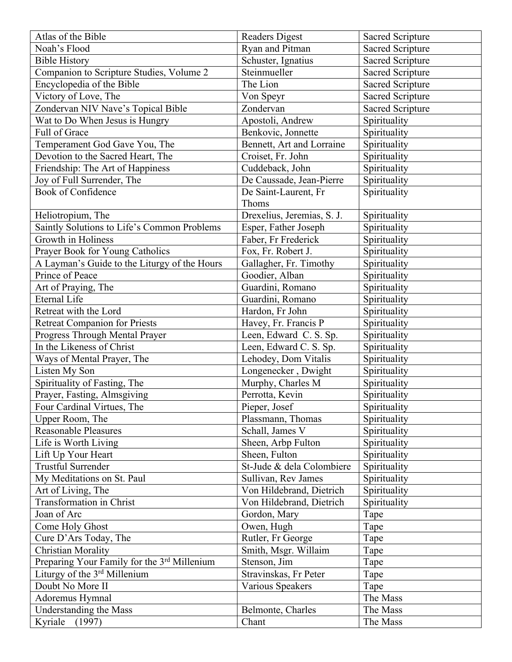| Atlas of the Bible                           | <b>Readers Digest</b>      | <b>Sacred Scripture</b> |
|----------------------------------------------|----------------------------|-------------------------|
| Noah's Flood                                 | Ryan and Pitman            | <b>Sacred Scripture</b> |
| <b>Bible History</b>                         | Schuster, Ignatius         | <b>Sacred Scripture</b> |
| Companion to Scripture Studies, Volume 2     | Steinmueller               | <b>Sacred Scripture</b> |
| Encyclopedia of the Bible                    | The Lion                   | <b>Sacred Scripture</b> |
| Victory of Love, The                         | Von Speyr                  | <b>Sacred Scripture</b> |
| Zondervan NIV Nave's Topical Bible           | Zondervan                  | <b>Sacred Scripture</b> |
| Wat to Do When Jesus is Hungry               | Apostoli, Andrew           | Spirituality            |
| Full of Grace                                | Benkovic, Jonnette         | Spirituality            |
| Temperament God Gave You, The                | Bennett, Art and Lorraine  | Spirituality            |
| Devotion to the Sacred Heart, The            | Croiset, Fr. John          | Spirituality            |
| Friendship: The Art of Happiness             | Cuddeback, John            | Spirituality            |
| Joy of Full Surrender, The                   | De Caussade, Jean-Pierre   | Spirituality            |
| <b>Book of Confidence</b>                    | De Saint-Laurent, Fr       | Spirituality            |
|                                              | Thoms                      |                         |
| Heliotropium, The                            | Drexelius, Jeremias, S. J. | Spirituality            |
| Saintly Solutions to Life's Common Problems  | Esper, Father Joseph       | Spirituality            |
| Growth in Holiness                           | Faber, Fr Frederick        | Spirituality            |
| Prayer Book for Young Catholics              | Fox, Fr. Robert J.         | Spirituality            |
| A Layman's Guide to the Liturgy of the Hours | Gallagher, Fr. Timothy     | Spirituality            |
| Prince of Peace                              | Goodier, Alban             | Spirituality            |
| Art of Praying, The                          | Guardini, Romano           | Spirituality            |
| <b>Eternal Life</b>                          | Guardini, Romano           | Spirituality            |
| Retreat with the Lord                        | Hardon, Fr John            | Spirituality            |
| <b>Retreat Companion for Priests</b>         | Havey, Fr. Francis P       | Spirituality            |
| Progress Through Mental Prayer               | Leen, Edward C. S. Sp.     | Spirituality            |
| In the Likeness of Christ                    | Leen, Edward C. S. Sp.     | Spirituality            |
| Ways of Mental Prayer, The                   | Lehodey, Dom Vitalis       | Spirituality            |
| Listen My Son                                | Longenecker, Dwight        | Spirituality            |
| Spirituality of Fasting, The                 | Murphy, Charles M          | Spirituality            |
| Prayer, Fasting, Almsgiving                  | Perrotta, Kevin            | Spirituality            |
| Four Cardinal Virtues, The                   | Pieper, Josef              | Spirituality            |
| Upper Room, The                              | Plassmann, Thomas          | Spirituality            |
| <b>Reasonable Pleasures</b>                  | Schall, James V            | Spirituality            |
| Life is Worth Living                         | Sheen, Arbp Fulton         | Spirituality            |
| Lift Up Your Heart                           | Sheen, Fulton              | Spirituality            |
| <b>Trustful Surrender</b>                    | St-Jude & dela Colombiere  | Spirituality            |
| My Meditations on St. Paul                   | Sullivan, Rev James        | Spirituality            |
| Art of Living, The                           | Von Hildebrand, Dietrich   | Spirituality            |
| <b>Transformation in Christ</b>              | Von Hildebrand, Dietrich   | Spirituality            |
| Joan of Arc                                  | Gordon, Mary               | Tape                    |
| Come Holy Ghost                              | Owen, Hugh                 | Tape                    |
| Cure D'Ars Today, The                        | Rutler, Fr George          | Tape                    |
| <b>Christian Morality</b>                    | Smith, Msgr. Willaim       | Tape                    |
| Preparing Your Family for the 3rd Millenium  | Stenson, Jim               | Tape                    |
| Liturgy of the 3rd Millenium                 | Stravinskas, Fr Peter      | Tape                    |
| Doubt No More II                             | Various Speakers           | Tape                    |
| Adoremus Hymnal                              |                            | The Mass                |
| Understanding the Mass                       | Belmonte, Charles          | The Mass                |
| Kyriale (1997)                               | Chant                      | The Mass                |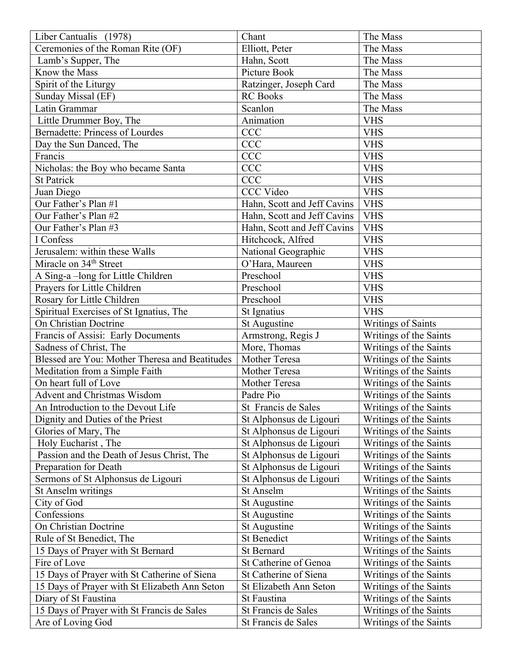| Liber Cantualis (1978)                         | Chant                       | The Mass                  |
|------------------------------------------------|-----------------------------|---------------------------|
| Ceremonies of the Roman Rite (OF)              | Elliott, Peter              | The Mass                  |
| Lamb's Supper, The                             | Hahn, Scott                 | The Mass                  |
| Know the Mass                                  | Picture Book                | The Mass                  |
| Spirit of the Liturgy                          | Ratzinger, Joseph Card      | The Mass                  |
| Sunday Missal (EF)                             | <b>RC</b> Books             | The Mass                  |
| Latin Grammar                                  | Scanlon                     | The Mass                  |
| Little Drummer Boy, The                        | Animation                   | <b>VHS</b>                |
| <b>Bernadette: Princess of Lourdes</b>         | <b>CCC</b>                  | <b>VHS</b>                |
| Day the Sun Danced, The                        | <b>CCC</b>                  | <b>VHS</b>                |
| Francis                                        | <b>CCC</b>                  | <b>VHS</b>                |
| Nicholas: the Boy who became Santa             | <b>CCC</b>                  | <b>VHS</b>                |
| <b>St Patrick</b>                              | <b>CCC</b>                  | <b>VHS</b>                |
| Juan Diego                                     | <b>CCC Video</b>            | <b>VHS</b>                |
| Our Father's Plan #1                           | Hahn, Scott and Jeff Cavins | <b>VHS</b>                |
| Our Father's Plan #2                           | Hahn, Scott and Jeff Cavins | <b>VHS</b>                |
| Our Father's Plan #3                           | Hahn, Scott and Jeff Cavins | <b>VHS</b>                |
| I Confess                                      | Hitchcock, Alfred           | <b>VHS</b>                |
| Jerusalem: within these Walls                  | National Geographic         | <b>VHS</b>                |
| Miracle on 34 <sup>th</sup> Street             | O'Hara, Maureen             | <b>VHS</b>                |
| A Sing-a-long for Little Children              | Preschool                   | <b>VHS</b>                |
| Prayers for Little Children                    | Preschool                   | <b>VHS</b>                |
| Rosary for Little Children                     | Preschool                   | <b>VHS</b>                |
| Spiritual Exercises of St Ignatius, The        | St Ignatius                 | <b>VHS</b>                |
| On Christian Doctrine                          | St Augustine                | <b>Writings of Saints</b> |
| Francis of Assisi: Early Documents             | Armstrong, Regis J          | Writings of the Saints    |
| Sadness of Christ, The                         | More, Thomas                | Writings of the Saints    |
| Blessed are You: Mother Theresa and Beatitudes | Mother Teresa               | Writings of the Saints    |
| Meditation from a Simple Faith                 | Mother Teresa               | Writings of the Saints    |
| On heart full of Love                          | Mother Teresa               | Writings of the Saints    |
| Advent and Christmas Wisdom                    | Padre Pio                   | Writings of the Saints    |
| An Introduction to the Devout Life             | St Francis de Sales         | Writings of the Saints    |
| Dignity and Duties of the Priest               | St Alphonsus de Ligouri     | Writings of the Saints    |
| Glories of Mary, The                           | St Alphonsus de Ligouri     | Writings of the Saints    |
| Holy Eucharist, The                            | St Alphonsus de Ligouri     | Writings of the Saints    |
| Passion and the Death of Jesus Christ, The     | St Alphonsus de Ligouri     | Writings of the Saints    |
| Preparation for Death                          | St Alphonsus de Ligouri     | Writings of the Saints    |
| Sermons of St Alphonsus de Ligouri             | St Alphonsus de Ligouri     | Writings of the Saints    |
| St Anselm writings                             | St Anselm                   | Writings of the Saints    |
| City of God                                    | St Augustine                | Writings of the Saints    |
| Confessions                                    | St Augustine                | Writings of the Saints    |
| On Christian Doctrine                          | St Augustine                | Writings of the Saints    |
| Rule of St Benedict, The                       | St Benedict                 | Writings of the Saints    |
| 15 Days of Prayer with St Bernard              | <b>St Bernard</b>           | Writings of the Saints    |
| Fire of Love                                   | St Catherine of Genoa       | Writings of the Saints    |
| 15 Days of Prayer with St Catherine of Siena   | St Catherine of Siena       | Writings of the Saints    |
| 15 Days of Prayer with St Elizabeth Ann Seton  | St Elizabeth Ann Seton      | Writings of the Saints    |
| Diary of St Faustina                           | St Faustina                 | Writings of the Saints    |
| 15 Days of Prayer with St Francis de Sales     | St Francis de Sales         | Writings of the Saints    |
| Are of Loving God                              | St Francis de Sales         | Writings of the Saints    |